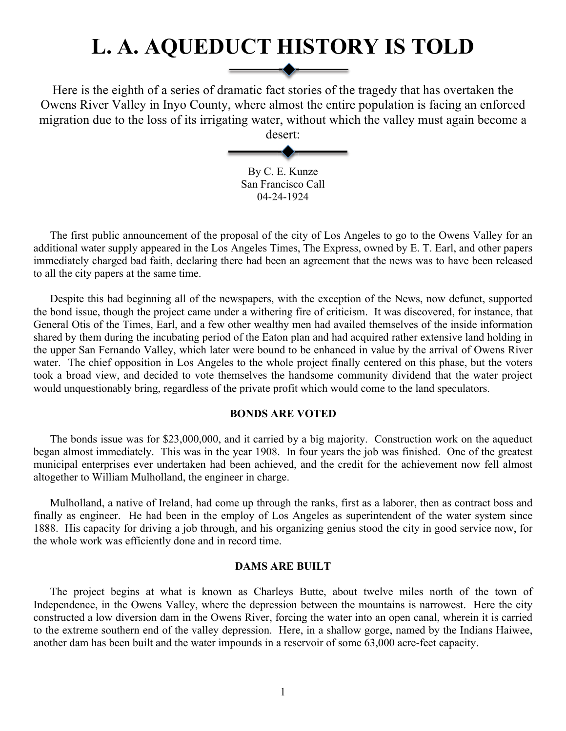# **L. A. AQUEDUCT HISTORY IS TOLD**

Here is the eighth of a series of dramatic fact stories of the tragedy that has overtaken the Owens River Valley in Inyo County, where almost the entire population is facing an enforced migration due to the loss of its irrigating water, without which the valley must again become a

desert:

By C. E. Kunze San Francisco Call 04-24-1924

The first public announcement of the proposal of the city of Los Angeles to go to the Owens Valley for an additional water supply appeared in the Los Angeles Times, The Express, owned by E. T. Earl, and other papers immediately charged bad faith, declaring there had been an agreement that the news was to have been released to all the city papers at the same time.

Despite this bad beginning all of the newspapers, with the exception of the News, now defunct, supported the bond issue, though the project came under a withering fire of criticism. It was discovered, for instance, that General Otis of the Times, Earl, and a few other wealthy men had availed themselves of the inside information shared by them during the incubating period of the Eaton plan and had acquired rather extensive land holding in the upper San Fernando Valley, which later were bound to be enhanced in value by the arrival of Owens River water. The chief opposition in Los Angeles to the whole project finally centered on this phase, but the voters took a broad view, and decided to vote themselves the handsome community dividend that the water project would unquestionably bring, regardless of the private profit which would come to the land speculators.

#### **BONDS ARE VOTED**

The bonds issue was for \$23,000,000, and it carried by a big majority. Construction work on the aqueduct began almost immediately. This was in the year 1908. In four years the job was finished. One of the greatest municipal enterprises ever undertaken had been achieved, and the credit for the achievement now fell almost altogether to William Mulholland, the engineer in charge.

Mulholland, a native of Ireland, had come up through the ranks, first as a laborer, then as contract boss and finally as engineer. He had been in the employ of Los Angeles as superintendent of the water system since 1888. His capacity for driving a job through, and his organizing genius stood the city in good service now, for the whole work was efficiently done and in record time.

#### **DAMS ARE BUILT**

The project begins at what is known as Charleys Butte, about twelve miles north of the town of Independence, in the Owens Valley, where the depression between the mountains is narrowest. Here the city constructed a low diversion dam in the Owens River, forcing the water into an open canal, wherein it is carried to the extreme southern end of the valley depression. Here, in a shallow gorge, named by the Indians Haiwee, another dam has been built and the water impounds in a reservoir of some 63,000 acre-feet capacity.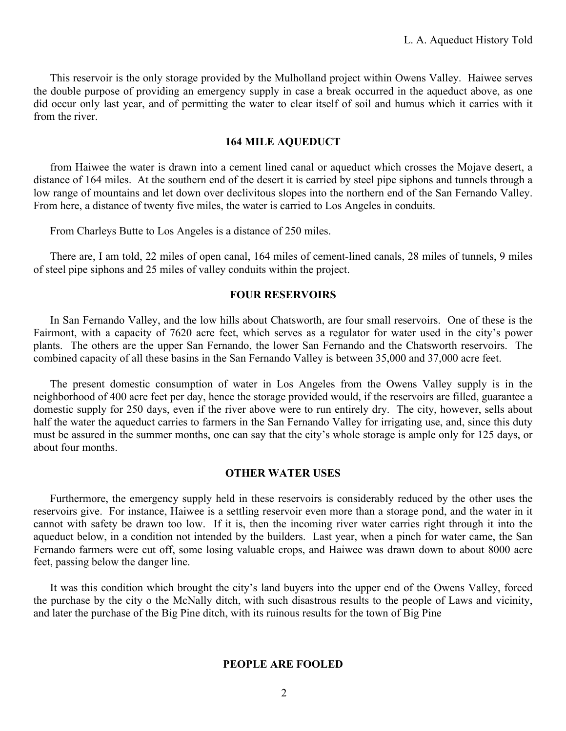This reservoir is the only storage provided by the Mulholland project within Owens Valley. Haiwee serves the double purpose of providing an emergency supply in case a break occurred in the aqueduct above, as one did occur only last year, and of permitting the water to clear itself of soil and humus which it carries with it from the river.

### **164 MILE AQUEDUCT**

from Haiwee the water is drawn into a cement lined canal or aqueduct which crosses the Mojave desert, a distance of 164 miles. At the southern end of the desert it is carried by steel pipe siphons and tunnels through a low range of mountains and let down over declivitous slopes into the northern end of the San Fernando Valley. From here, a distance of twenty five miles, the water is carried to Los Angeles in conduits.

From Charleys Butte to Los Angeles is a distance of 250 miles.

There are, I am told, 22 miles of open canal, 164 miles of cement-lined canals, 28 miles of tunnels, 9 miles of steel pipe siphons and 25 miles of valley conduits within the project.

# **FOUR RESERVOIRS**

In San Fernando Valley, and the low hills about Chatsworth, are four small reservoirs. One of these is the Fairmont, with a capacity of 7620 acre feet, which serves as a regulator for water used in the city's power plants. The others are the upper San Fernando, the lower San Fernando and the Chatsworth reservoirs. The combined capacity of all these basins in the San Fernando Valley is between 35,000 and 37,000 acre feet.

The present domestic consumption of water in Los Angeles from the Owens Valley supply is in the neighborhood of 400 acre feet per day, hence the storage provided would, if the reservoirs are filled, guarantee a domestic supply for 250 days, even if the river above were to run entirely dry. The city, however, sells about half the water the aqueduct carries to farmers in the San Fernando Valley for irrigating use, and, since this duty must be assured in the summer months, one can say that the city's whole storage is ample only for 125 days, or about four months.

# **OTHER WATER USES**

Furthermore, the emergency supply held in these reservoirs is considerably reduced by the other uses the reservoirs give. For instance, Haiwee is a settling reservoir even more than a storage pond, and the water in it cannot with safety be drawn too low. If it is, then the incoming river water carries right through it into the aqueduct below, in a condition not intended by the builders. Last year, when a pinch for water came, the San Fernando farmers were cut off, some losing valuable crops, and Haiwee was drawn down to about 8000 acre feet, passing below the danger line.

It was this condition which brought the city's land buyers into the upper end of the Owens Valley, forced the purchase by the city o the McNally ditch, with such disastrous results to the people of Laws and vicinity, and later the purchase of the Big Pine ditch, with its ruinous results for the town of Big Pine

#### **PEOPLE ARE FOOLED**